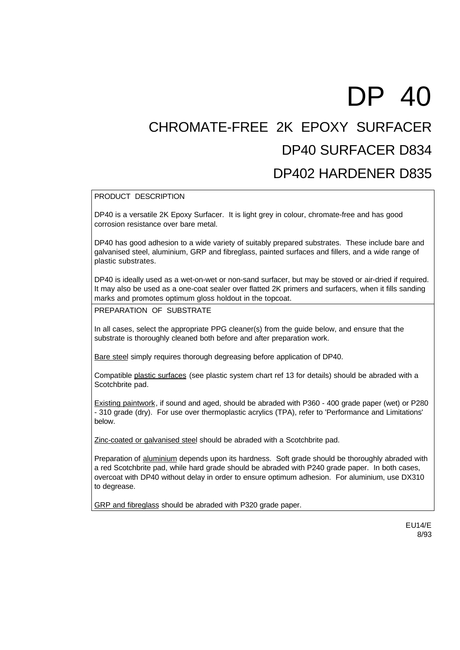## DP 40 CHROMATE-FREE 2K EPOXY SURFACER DP40 SURFACER D834 DP402 HARDENER D835

## PRODUCT DESCRIPTION

DP40 is a versatile 2K Epoxy Surfacer. It is light grey in colour, chromate-free and has good corrosion resistance over bare metal.

DP40 has good adhesion to a wide variety of suitably prepared substrates. These include bare and galvanised steel, aluminium, GRP and fibreglass, painted surfaces and fillers, and a wide range of plastic substrates.

DP40 is ideally used as a wet-on-wet or non-sand surfacer, but may be stoved or air-dried if required. It may also be used as a one-coat sealer over flatted 2K primers and surfacers, when it fills sanding marks and promotes optimum gloss holdout in the topcoat.

PREPARATION OF SUBSTRATE

In all cases, select the appropriate PPG cleaner(s) from the guide below, and ensure that the substrate is thoroughly cleaned both before and after preparation work.

Bare steel simply requires thorough degreasing before application of DP40.

Compatible plastic surfaces (see plastic system chart ref 13 for details) should be abraded with a Scotchbrite pad.

Existing paintwork, if sound and aged, should be abraded with P360 - 400 grade paper (wet) or P280 - 310 grade (dry). For use over thermoplastic acrylics (TPA), refer to 'Performance and Limitations' below.

Zinc-coated or galvanised steel should be abraded with a Scotchbrite pad.

Preparation of aluminium depends upon its hardness. Soft grade should be thoroughly abraded with a red Scotchbrite pad, while hard grade should be abraded with P240 grade paper. In both cases, overcoat with DP40 without delay in order to ensure optimum adhesion. For aluminium, use DX310 to degrease.

GRP and fibreglass should be abraded with P320 grade paper.

EU14/E 8/93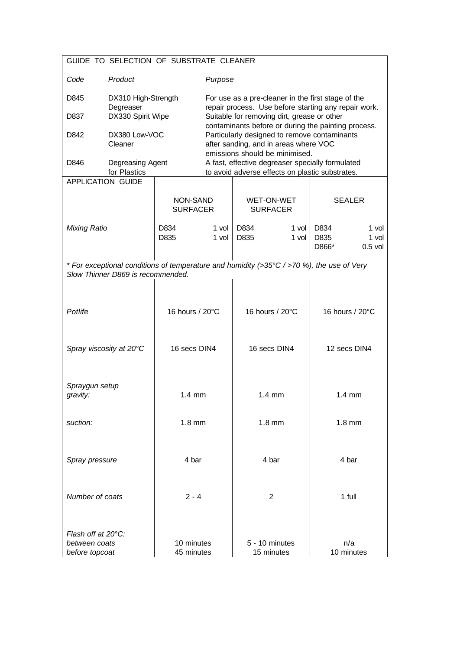| GUIDE TO SELECTION OF SUBSTRATE CLEANER                                                                                        |                                                       |                             |                                                                                                                                                                                |                               |                  |                       |                             |
|--------------------------------------------------------------------------------------------------------------------------------|-------------------------------------------------------|-----------------------------|--------------------------------------------------------------------------------------------------------------------------------------------------------------------------------|-------------------------------|------------------|-----------------------|-----------------------------|
| Code                                                                                                                           | Product                                               |                             | Purpose                                                                                                                                                                        |                               |                  |                       |                             |
| D845<br>D837                                                                                                                   | DX310 High-Strength<br>Degreaser<br>DX330 Spirit Wipe |                             | For use as a pre-cleaner in the first stage of the<br>repair process. Use before starting any repair work.<br>Suitable for removing dirt, grease or other                      |                               |                  |                       |                             |
| D842                                                                                                                           | DX380 Low-VOC<br>Cleaner                              |                             | contaminants before or during the painting process.<br>Particularly designed to remove contaminants<br>after sanding, and in areas where VOC<br>emissions should be minimised. |                               |                  |                       |                             |
| D846                                                                                                                           | Degreasing Agent<br>for Plastics                      |                             | A fast, effective degreaser specially formulated<br>to avoid adverse effects on plastic substrates.                                                                            |                               |                  |                       |                             |
|                                                                                                                                | <b>APPLICATION GUIDE</b>                              |                             |                                                                                                                                                                                |                               |                  |                       |                             |
|                                                                                                                                |                                                       | NON-SAND<br><b>SURFACER</b> |                                                                                                                                                                                | WET-ON-WET<br><b>SURFACER</b> |                  | <b>SEALER</b>         |                             |
| <b>Mixing Ratio</b>                                                                                                            |                                                       | D834<br>D835                | 1 vol<br>1 vol                                                                                                                                                                 | D834<br>D835                  | $1$ vol<br>1 vol | D834<br>D835<br>D866* | 1 vol<br>1 vol<br>$0.5$ vol |
| * For exceptional conditions of temperature and humidity (>35°C / >70 %), the use of Very<br>Slow Thinner D869 is recommended. |                                                       |                             |                                                                                                                                                                                |                               |                  |                       |                             |
| Potlife                                                                                                                        |                                                       | 16 hours / 20°C             |                                                                                                                                                                                | 16 hours / 20°C               |                  | 16 hours / 20°C       |                             |
| Spray viscosity at 20°C                                                                                                        |                                                       | 16 secs DIN4                |                                                                                                                                                                                | 16 secs DIN4                  |                  | 12 secs DIN4          |                             |
| Spraygun setup<br>gravity:                                                                                                     |                                                       | $1.4 \text{ mm}$            |                                                                                                                                                                                | $1.4 \text{ mm}$              |                  | $1.4 \text{ mm}$      |                             |
| suction:                                                                                                                       |                                                       | $1.8$ mm                    |                                                                                                                                                                                | $1.8$ mm                      |                  | $1.8$ mm              |                             |
| Spray pressure                                                                                                                 |                                                       | 4 bar                       |                                                                                                                                                                                | 4 bar                         |                  | 4 bar                 |                             |
| Number of coats                                                                                                                |                                                       | $2 - 4$                     |                                                                                                                                                                                | 2                             |                  | 1 full                |                             |
| Flash off at $20^{\circ}$ C:<br>between coats<br>before topcoat                                                                |                                                       | 10 minutes<br>45 minutes    |                                                                                                                                                                                | 5 - 10 minutes<br>15 minutes  |                  | n/a<br>10 minutes     |                             |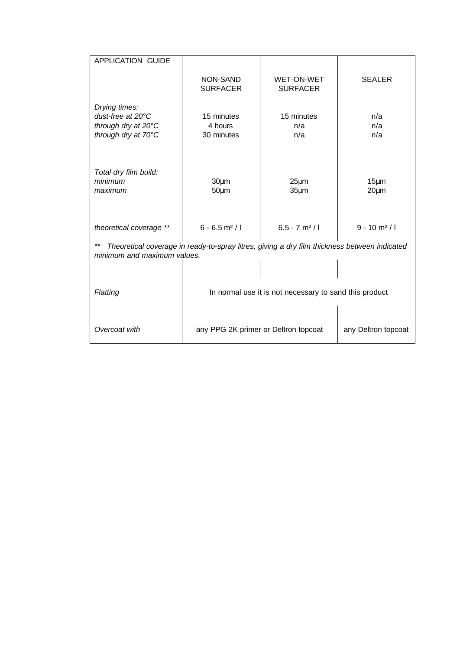| APPLICATION GUIDE                                                                                                           |                                                             |                                      |                            |  |  |  |  |
|-----------------------------------------------------------------------------------------------------------------------------|-------------------------------------------------------------|--------------------------------------|----------------------------|--|--|--|--|
|                                                                                                                             | NON-SAND<br><b>SURFACER</b>                                 | <b>WET-ON-WET</b><br><b>SURFACER</b> | <b>SEALER</b>              |  |  |  |  |
| Drying times:<br>dust-free at 20°C<br>through dry at 20°C<br>through dry at 70°C                                            | 15 minutes<br>4 hours<br>30 minutes                         | 15 minutes<br>n/a<br>n/a             | n/a<br>n/a<br>n/a          |  |  |  |  |
| Total dry film build:<br>minimum<br>maximum                                                                                 | 30 <sub>µ</sub> m<br>$50 \mu m$                             | $25 \mu m$<br>35 <sub>µ</sub> m      | $15 \mu m$<br>$20 \mu m$   |  |  |  |  |
| theoretical coverage **                                                                                                     | $6 - 6.5$ m <sup>2</sup> /l                                 | $6.5 - 7$ m <sup>2</sup> /l          | $9 - 10$ m <sup>2</sup> /l |  |  |  |  |
| Theoretical coverage in ready-to-spray litres, giving a dry film thickness between indicated<br>minimum and maximum values. |                                                             |                                      |                            |  |  |  |  |
| Flatting                                                                                                                    | In normal use it is not necessary to sand this product      |                                      |                            |  |  |  |  |
| Overcoat with                                                                                                               | any PPG 2K primer or Deltron topcoat<br>any Deltron topcoat |                                      |                            |  |  |  |  |